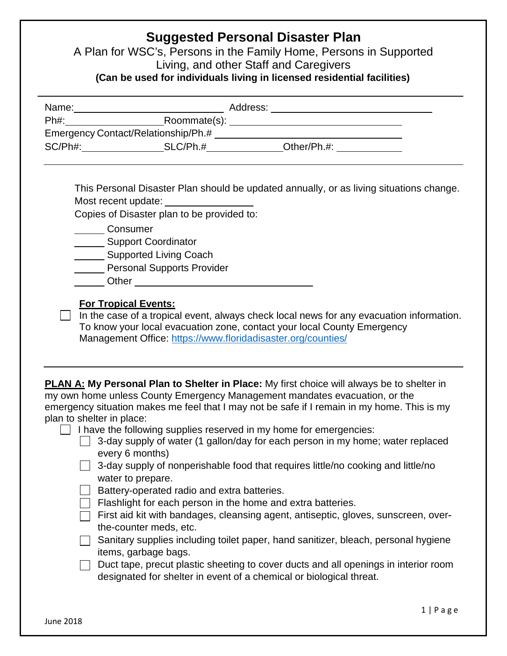## **Suggested Personal Disaster Plan**

A Plan for WSC's, Persons in the Family Home, Persons in Supported Living, and other Staff and Caregivers **(Can be used for individuals living in licensed residential facilities)** 

| Name:   | Address:                            |             |  |
|---------|-------------------------------------|-------------|--|
| Ph#:    | Roommate(s):                        |             |  |
|         | Emergency Contact/Relationship/Ph.# |             |  |
| SC/Ph#: | SLC/Ph.#                            | Other/Ph.#: |  |

This Personal Disaster Plan should be updated annually, or as living situations change. Most recent update:

Copies of Disaster plan to be provided to:

**Consumer** 

Support Coordinator

**Supported Living Coach** 

**Personal Supports Provider** 

**Communication Contract Communication** Communication Communication Communication Communication Communication Communication Communication Communication Communication Communication Communication Communication Communication C

## **For Tropical Events:**

 $\Box$  In the case of a tropical event, always check local news for any evacuation information. To know your local evacuation zone, contact your local County Emergency Management Office:<https://www.floridadisaster.org/counties/>

| <b>PLAN A: My Personal Plan to Shelter in Place:</b> My first choice will always be to shelter in |
|---------------------------------------------------------------------------------------------------|
| my own home unless County Emergency Management mandates evacuation, or the                        |
| emergency situation makes me feel that I may not be safe if I remain in my home. This is my       |
| plan to shelter in place:                                                                         |

| I have the following supplies reserved in my home for emergencies: |  |  |  |
|--------------------------------------------------------------------|--|--|--|
|                                                                    |  |  |  |

| △ 3-day supply of water (1 gallon/day for each person in my home; water replaced |  |  |  |  |  |
|----------------------------------------------------------------------------------|--|--|--|--|--|
| every 6 months)                                                                  |  |  |  |  |  |

| 3-day supply of nonperishable food that requires little/no cooking and little/no |
|----------------------------------------------------------------------------------|
| water to prepare.                                                                |

Battery-operated radio and extra batteries.

Flashlight for each person in the home and extra batteries.

First aid kit with bandages, cleansing agent, antiseptic, gloves, sunscreen, overthe-counter meds, etc.

Sanitary supplies including toilet paper, hand sanitizer, bleach, personal hygiene items, garbage bags.

 $\Box$  Duct tape, precut plastic sheeting to cover ducts and all openings in interior room designated for shelter in event of a chemical or biological threat.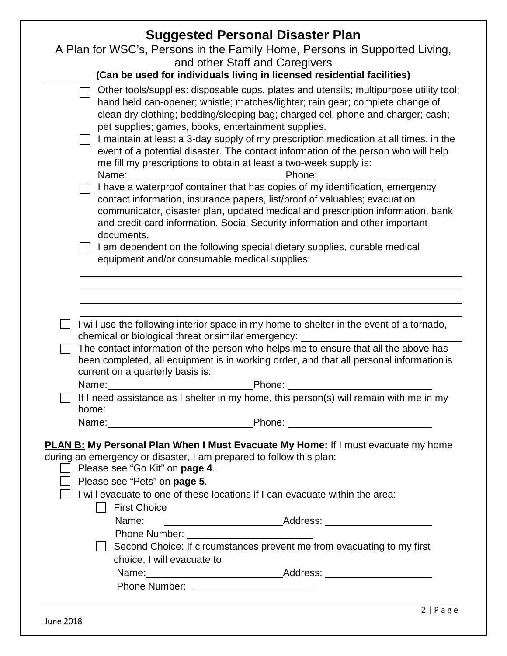|                                                                                                                                                                                                                                              | <b>Suggested Personal Disaster Plan</b>                                                                                                                                                                                                                                                                                                                                                                                                             |
|----------------------------------------------------------------------------------------------------------------------------------------------------------------------------------------------------------------------------------------------|-----------------------------------------------------------------------------------------------------------------------------------------------------------------------------------------------------------------------------------------------------------------------------------------------------------------------------------------------------------------------------------------------------------------------------------------------------|
|                                                                                                                                                                                                                                              | A Plan for WSC's, Persons in the Family Home, Persons in Supported Living,                                                                                                                                                                                                                                                                                                                                                                          |
|                                                                                                                                                                                                                                              | and other Staff and Caregivers                                                                                                                                                                                                                                                                                                                                                                                                                      |
|                                                                                                                                                                                                                                              | (Can be used for individuals living in licensed residential facilities)                                                                                                                                                                                                                                                                                                                                                                             |
| pet supplies; games, books, entertainment supplies.<br>me fill my prescriptions to obtain at least a two-week supply is:<br>Name: <u>________________________</u>                                                                            | Other tools/supplies: disposable cups, plates and utensils; multipurpose utility tool;<br>hand held can-opener; whistle; matches/lighter; rain gear; complete change of<br>clean dry clothing; bedding/sleeping bag; charged cell phone and charger; cash;<br>I maintain at least a 3-day supply of my prescription medication at all times, in the<br>event of a potential disaster. The contact information of the person who will help<br>Phone: |
| documents.                                                                                                                                                                                                                                   | I have a waterproof container that has copies of my identification, emergency<br>contact information, insurance papers, list/proof of valuables; evacuation<br>communicator, disaster plan, updated medical and prescription information, bank<br>and credit card information, Social Security information and other important                                                                                                                      |
| equipment and/or consumable medical supplies:                                                                                                                                                                                                | I am dependent on the following special dietary supplies, durable medical                                                                                                                                                                                                                                                                                                                                                                           |
|                                                                                                                                                                                                                                              |                                                                                                                                                                                                                                                                                                                                                                                                                                                     |
|                                                                                                                                                                                                                                              |                                                                                                                                                                                                                                                                                                                                                                                                                                                     |
|                                                                                                                                                                                                                                              |                                                                                                                                                                                                                                                                                                                                                                                                                                                     |
| chemical or biological threat or similar emergency:                                                                                                                                                                                          | I will use the following interior space in my home to shelter in the event of a tornado,                                                                                                                                                                                                                                                                                                                                                            |
| current on a quarterly basis is:                                                                                                                                                                                                             | The contact information of the person who helps me to ensure that all the above has<br>been completed, all equipment is in working order, and that all personal information is                                                                                                                                                                                                                                                                      |
| Name:                                                                                                                                                                                                                                        | Phone:                                                                                                                                                                                                                                                                                                                                                                                                                                              |
| home:                                                                                                                                                                                                                                        | If I need assistance as I shelter in my home, this person(s) will remain with me in my                                                                                                                                                                                                                                                                                                                                                              |
|                                                                                                                                                                                                                                              | Name: Name: Name: Name: Name: Name: Name: Name: Name: Name: Name: Name: Name: Name: Name: Name: Name: Name: Name: Name: Name: Name: Name: Name: Name: Name: Name: Name: Name: Name: Name: Name: Name: Name: Name: Name: Name:                                                                                                                                                                                                                       |
| during an emergency or disaster, I am prepared to follow this plan:<br>Please see "Go Kit" on page 4.<br>Please see "Pets" on page 5.<br>I will evacuate to one of these locations if I can evacuate within the area:<br><b>First Choice</b> | <b>PLAN B: My Personal Plan When I Must Evacuate My Home:</b> If I must evacuate my home                                                                                                                                                                                                                                                                                                                                                            |
| Name:                                                                                                                                                                                                                                        |                                                                                                                                                                                                                                                                                                                                                                                                                                                     |
|                                                                                                                                                                                                                                              |                                                                                                                                                                                                                                                                                                                                                                                                                                                     |
| choice, I will evacuate to                                                                                                                                                                                                                   | Second Choice: If circumstances prevent me from evacuating to my first                                                                                                                                                                                                                                                                                                                                                                              |
|                                                                                                                                                                                                                                              |                                                                                                                                                                                                                                                                                                                                                                                                                                                     |
|                                                                                                                                                                                                                                              |                                                                                                                                                                                                                                                                                                                                                                                                                                                     |
|                                                                                                                                                                                                                                              |                                                                                                                                                                                                                                                                                                                                                                                                                                                     |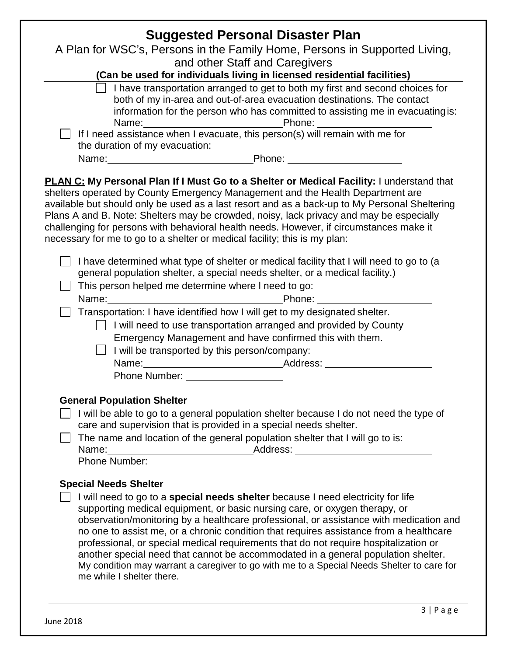| <b>Suggested Personal Disaster Plan</b>                                                                                                                                                                                                                                                                                                                                                                                                                                                                                                                                                                                                                                                                                               |
|---------------------------------------------------------------------------------------------------------------------------------------------------------------------------------------------------------------------------------------------------------------------------------------------------------------------------------------------------------------------------------------------------------------------------------------------------------------------------------------------------------------------------------------------------------------------------------------------------------------------------------------------------------------------------------------------------------------------------------------|
| A Plan for WSC's, Persons in the Family Home, Persons in Supported Living,                                                                                                                                                                                                                                                                                                                                                                                                                                                                                                                                                                                                                                                            |
| and other Staff and Caregivers<br>(Can be used for individuals living in licensed residential facilities)                                                                                                                                                                                                                                                                                                                                                                                                                                                                                                                                                                                                                             |
| I have transportation arranged to get to both my first and second choices for<br>both of my in-area and out-of-area evacuation destinations. The contact<br>information for the person who has committed to assisting me in evacuating is:<br>Name: Name: Name: Name: Name: Name: Name: Name: Name: Name: Name: Name: Name: Name: New York Processes, this person(s) will remain with me for<br>the duration of my evacuation:                                                                                                                                                                                                                                                                                                        |
|                                                                                                                                                                                                                                                                                                                                                                                                                                                                                                                                                                                                                                                                                                                                       |
| PLAN C: My Personal Plan If I Must Go to a Shelter or Medical Facility: I understand that<br>shelters operated by County Emergency Management and the Health Department are<br>available but should only be used as a last resort and as a back-up to My Personal Sheltering<br>Plans A and B. Note: Shelters may be crowded, noisy, lack privacy and may be especially<br>challenging for persons with behavioral health needs. However, if circumstances make it<br>necessary for me to go to a shelter or medical facility; this is my plan:                                                                                                                                                                                       |
| I have determined what type of shelter or medical facility that I will need to go to (a<br>general population shelter, a special needs shelter, or a medical facility.)<br>This person helped me determine where I need to go:<br>Transportation: I have identified how I will get to my designated shelter.<br>I will need to use transportation arranged and provided by County<br>Emergency Management and have confirmed this with them.<br>$\Box$ I will be transported by this person/company:<br>Name: Address: Address: Address: Address: Address: Address: Address: Address: Address: Address: Address: Address: Address: Address: Address: Address: Address: Address: Address: Address: Address: Address: Address: Address: |
| <b>Phone Number:</b> Phone Number:                                                                                                                                                                                                                                                                                                                                                                                                                                                                                                                                                                                                                                                                                                    |
| <b>General Population Shelter</b><br>I will be able to go to a general population shelter because I do not need the type of<br>care and supervision that is provided in a special needs shelter.<br>The name and location of the general population shelter that I will go to is:<br>Name: Mame: Mame: Mame: Mame: Mame Number: Mame Number: Mame Number: Mame Number: Mame Number: Mame Number: Mame Number: Mame Number: Mame Number: Mame Number: Mame Number: Mame Number: Mame Number: Mame Number: Mame Numbe                                                                                                                                                                                                                   |
| <b>Special Needs Shelter</b><br>I will need to go to a special needs shelter because I need electricity for life<br>supporting medical equipment, or basic nursing care, or oxygen therapy, or<br>observation/monitoring by a healthcare professional, or assistance with medication and<br>no one to assist me, or a chronic condition that requires assistance from a healthcare<br>professional, or special medical requirements that do not require hospitalization or<br>another special need that cannot be accommodated in a general population shelter.<br>My condition may warrant a caregiver to go with me to a Special Needs Shelter to care for<br>me while I shelter there.                                             |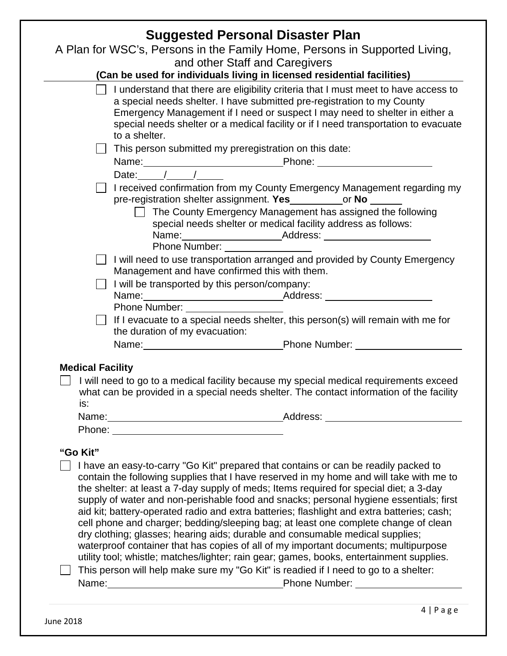| <b>Suggested Personal Disaster Plan</b>                                                                                                                                                                                                                                                                                                                                                                                                                                                                                                                                                                                                                                                                                           |  |  |  |  |
|-----------------------------------------------------------------------------------------------------------------------------------------------------------------------------------------------------------------------------------------------------------------------------------------------------------------------------------------------------------------------------------------------------------------------------------------------------------------------------------------------------------------------------------------------------------------------------------------------------------------------------------------------------------------------------------------------------------------------------------|--|--|--|--|
| A Plan for WSC's, Persons in the Family Home, Persons in Supported Living,                                                                                                                                                                                                                                                                                                                                                                                                                                                                                                                                                                                                                                                        |  |  |  |  |
| and other Staff and Caregivers                                                                                                                                                                                                                                                                                                                                                                                                                                                                                                                                                                                                                                                                                                    |  |  |  |  |
| (Can be used for individuals living in licensed residential facilities)                                                                                                                                                                                                                                                                                                                                                                                                                                                                                                                                                                                                                                                           |  |  |  |  |
| I understand that there are eligibility criteria that I must meet to have access to<br>a special needs shelter. I have submitted pre-registration to my County<br>Emergency Management if I need or suspect I may need to shelter in either a<br>special needs shelter or a medical facility or if I need transportation to evacuate<br>to a shelter.                                                                                                                                                                                                                                                                                                                                                                             |  |  |  |  |
| This person submitted my preregistration on this date:                                                                                                                                                                                                                                                                                                                                                                                                                                                                                                                                                                                                                                                                            |  |  |  |  |
|                                                                                                                                                                                                                                                                                                                                                                                                                                                                                                                                                                                                                                                                                                                                   |  |  |  |  |
| Name: Phone: Phone: 2014                                                                                                                                                                                                                                                                                                                                                                                                                                                                                                                                                                                                                                                                                                          |  |  |  |  |
| I received confirmation from my County Emergency Management regarding my<br>pre-registration shelter assignment. Yes_____________or No _______                                                                                                                                                                                                                                                                                                                                                                                                                                                                                                                                                                                    |  |  |  |  |
| $\Box$ The County Emergency Management has assigned the following<br>special needs shelter or medical facility address as follows:                                                                                                                                                                                                                                                                                                                                                                                                                                                                                                                                                                                                |  |  |  |  |
| Phone Number: _________                                                                                                                                                                                                                                                                                                                                                                                                                                                                                                                                                                                                                                                                                                           |  |  |  |  |
| I will need to use transportation arranged and provided by County Emergency<br>Management and have confirmed this with them.                                                                                                                                                                                                                                                                                                                                                                                                                                                                                                                                                                                                      |  |  |  |  |
| I will be transported by this person/company:                                                                                                                                                                                                                                                                                                                                                                                                                                                                                                                                                                                                                                                                                     |  |  |  |  |
|                                                                                                                                                                                                                                                                                                                                                                                                                                                                                                                                                                                                                                                                                                                                   |  |  |  |  |
| If I evacuate to a special needs shelter, this person(s) will remain with me for<br>$\Box$                                                                                                                                                                                                                                                                                                                                                                                                                                                                                                                                                                                                                                        |  |  |  |  |
| the duration of my evacuation:                                                                                                                                                                                                                                                                                                                                                                                                                                                                                                                                                                                                                                                                                                    |  |  |  |  |
| Name: Name: Name: Name: Name: Name: Name: Name: Name: Name: Name: Name: Name: Name: Name: Name: Name: Name: Name: Name: Name: Name: Name: Name: Name: Name: Name: Name: Name: Name: Name: Name: Name: Name: Name: Name: Name:                                                                                                                                                                                                                                                                                                                                                                                                                                                                                                     |  |  |  |  |
|                                                                                                                                                                                                                                                                                                                                                                                                                                                                                                                                                                                                                                                                                                                                   |  |  |  |  |
| <b>Medical Facility</b><br>I will need to go to a medical facility because my special medical requirements exceed<br>what can be provided in a special needs shelter. The contact information of the facility<br>is:                                                                                                                                                                                                                                                                                                                                                                                                                                                                                                              |  |  |  |  |
|                                                                                                                                                                                                                                                                                                                                                                                                                                                                                                                                                                                                                                                                                                                                   |  |  |  |  |
| "Go Kit"<br>I have an easy-to-carry "Go Kit" prepared that contains or can be readily packed to<br>contain the following supplies that I have reserved in my home and will take with me to                                                                                                                                                                                                                                                                                                                                                                                                                                                                                                                                        |  |  |  |  |
| the shelter: at least a 7-day supply of meds; Items required for special diet; a 3-day<br>supply of water and non-perishable food and snacks; personal hygiene essentials; first<br>aid kit; battery-operated radio and extra batteries; flashlight and extra batteries; cash;<br>cell phone and charger; bedding/sleeping bag; at least one complete change of clean<br>dry clothing; glasses; hearing aids; durable and consumable medical supplies;<br>waterproof container that has copies of all of my important documents; multipurpose<br>utility tool; whistle; matches/lighter; rain gear; games, books, entertainment supplies.<br>This person will help make sure my "Go Kit" is readied if I need to go to a shelter: |  |  |  |  |
| Name: Name: Name: Name: Name: Name: Name: Name: Name: Name: Name: Name: Name: Name: Name: Name: Name: Name: Name: Name: Name: Name: Name: Name: Name: Name: Name: Name: Name: Name: Name: Name: Name: Name: Name: Name: Name:                                                                                                                                                                                                                                                                                                                                                                                                                                                                                                     |  |  |  |  |